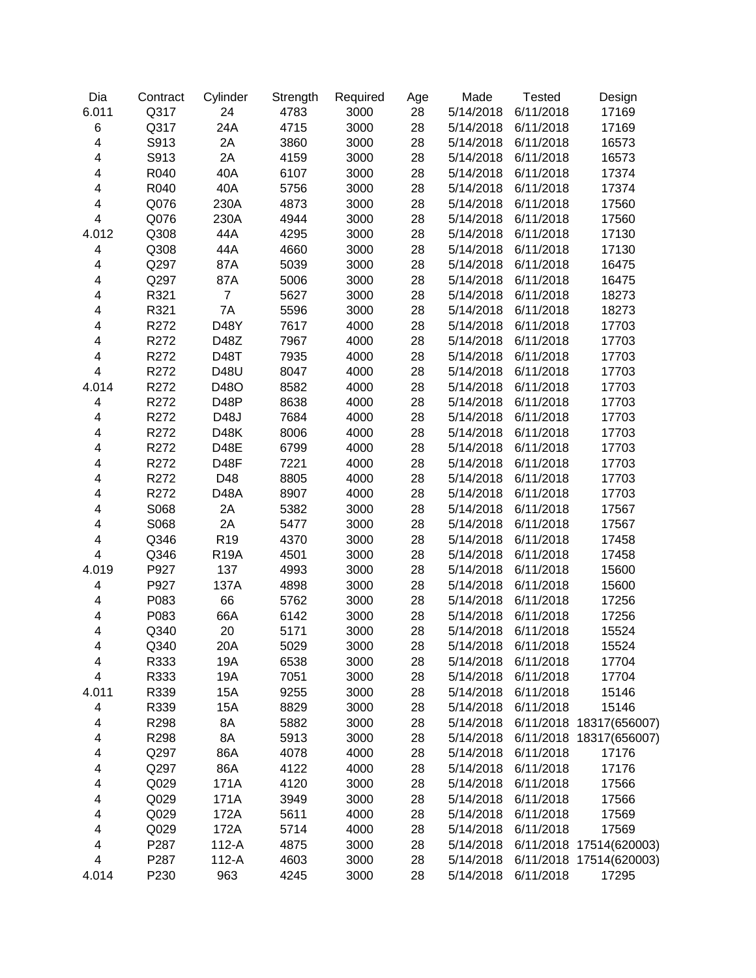| Dia                     | Contract | Cylinder        | Strength | Required | Age | Made      | <b>Tested</b>       | Design                  |
|-------------------------|----------|-----------------|----------|----------|-----|-----------|---------------------|-------------------------|
| 6.011                   | Q317     | 24              | 4783     | 3000     | 28  | 5/14/2018 | 6/11/2018           | 17169                   |
| $\,6$                   | Q317     | 24A             | 4715     | 3000     | 28  | 5/14/2018 | 6/11/2018           | 17169                   |
| $\overline{\mathbf{4}}$ | S913     | 2A              | 3860     | 3000     | 28  | 5/14/2018 | 6/11/2018           | 16573                   |
| $\overline{\mathbf{4}}$ | S913     | 2A              | 4159     | 3000     | 28  | 5/14/2018 | 6/11/2018           | 16573                   |
| $\overline{\mathbf{4}}$ | R040     | 40A             | 6107     | 3000     | 28  | 5/14/2018 | 6/11/2018           | 17374                   |
| $\overline{\mathbf{4}}$ | R040     | 40A             | 5756     | 3000     | 28  | 5/14/2018 | 6/11/2018           | 17374                   |
| $\overline{\mathbf{4}}$ | Q076     | 230A            | 4873     | 3000     | 28  | 5/14/2018 | 6/11/2018           | 17560                   |
| $\overline{\mathbf{4}}$ | Q076     | 230A            | 4944     | 3000     | 28  | 5/14/2018 | 6/11/2018           | 17560                   |
| 4.012                   | Q308     | 44A             | 4295     | 3000     | 28  | 5/14/2018 | 6/11/2018           | 17130                   |
| 4                       | Q308     | 44A             | 4660     | 3000     | 28  | 5/14/2018 | 6/11/2018           | 17130                   |
| $\overline{\mathbf{4}}$ | Q297     | 87A             | 5039     | 3000     | 28  | 5/14/2018 | 6/11/2018           | 16475                   |
| 4                       | Q297     | 87A             | 5006     | 3000     | 28  | 5/14/2018 | 6/11/2018           | 16475                   |
| 4                       | R321     | $\overline{7}$  | 5627     | 3000     | 28  | 5/14/2018 | 6/11/2018           | 18273                   |
| 4                       | R321     | 7A              | 5596     | 3000     | 28  | 5/14/2018 | 6/11/2018           | 18273                   |
| 4                       | R272     | D48Y            | 7617     | 4000     | 28  | 5/14/2018 | 6/11/2018           | 17703                   |
| 4                       | R272     | D48Z            | 7967     | 4000     | 28  | 5/14/2018 | 6/11/2018           | 17703                   |
| 4                       | R272     | D48T            | 7935     | 4000     | 28  | 5/14/2018 | 6/11/2018           | 17703                   |
| $\overline{\mathbf{4}}$ | R272     | D48U            | 8047     | 4000     | 28  | 5/14/2018 | 6/11/2018           | 17703                   |
| 4.014                   | R272     | D48O            | 8582     | 4000     | 28  | 5/14/2018 | 6/11/2018           | 17703                   |
| 4                       | R272     | D48P            | 8638     | 4000     | 28  | 5/14/2018 | 6/11/2018           | 17703                   |
| 4                       | R272     | D48J            | 7684     | 4000     | 28  | 5/14/2018 | 6/11/2018           | 17703                   |
| 4                       | R272     | <b>D48K</b>     | 8006     | 4000     | 28  | 5/14/2018 | 6/11/2018           | 17703                   |
| 4                       | R272     | D48E            | 6799     | 4000     | 28  | 5/14/2018 | 6/11/2018           | 17703                   |
| 4                       | R272     | D48F            | 7221     | 4000     | 28  | 5/14/2018 | 6/11/2018           | 17703                   |
| 4                       | R272     | D48             | 8805     | 4000     | 28  | 5/14/2018 | 6/11/2018           | 17703                   |
| 4                       | R272     | D48A            | 8907     | 4000     | 28  | 5/14/2018 | 6/11/2018           | 17703                   |
| 4                       | S068     | 2A              | 5382     | 3000     | 28  | 5/14/2018 | 6/11/2018           | 17567                   |
| 4                       | S068     | 2A              | 5477     | 3000     | 28  | 5/14/2018 | 6/11/2018           | 17567                   |
| 4                       | Q346     | R <sub>19</sub> | 4370     | 3000     | 28  | 5/14/2018 | 6/11/2018           | 17458                   |
| $\overline{\mathbf{4}}$ | Q346     | <b>R19A</b>     | 4501     | 3000     | 28  | 5/14/2018 | 6/11/2018           | 17458                   |
| 4.019                   | P927     | 137             | 4993     | 3000     | 28  | 5/14/2018 | 6/11/2018           | 15600                   |
| 4                       | P927     | 137A            | 4898     | 3000     | 28  | 5/14/2018 | 6/11/2018           | 15600                   |
| 4                       | P083     | 66              | 5762     | 3000     | 28  | 5/14/2018 | 6/11/2018           | 17256                   |
| 4                       | P083     | 66A             | 6142     | 3000     | 28  | 5/14/2018 | 6/11/2018           | 17256                   |
| 4                       | Q340     | 20              | 5171     | 3000     | 28  | 5/14/2018 | 6/11/2018           | 15524                   |
| 4                       | Q340     | 20A             | 5029     | 3000     | 28  |           | 5/14/2018 6/11/2018 | 15524                   |
| 4                       | R333     | 19A             | 6538     | 3000     | 28  | 5/14/2018 | 6/11/2018           | 17704                   |
| $\overline{\mathbf{4}}$ | R333     | 19A             | 7051     | 3000     | 28  | 5/14/2018 | 6/11/2018           | 17704                   |
| 4.011                   | R339     | 15A             | 9255     | 3000     | 28  | 5/14/2018 | 6/11/2018           | 15146                   |
| 4                       | R339     | 15A             | 8829     | 3000     | 28  | 5/14/2018 | 6/11/2018           | 15146                   |
| 4                       | R298     | 8A              | 5882     | 3000     | 28  | 5/14/2018 |                     | 6/11/2018 18317(656007) |
| 4                       | R298     | 8A              | 5913     | 3000     | 28  | 5/14/2018 |                     | 6/11/2018 18317(656007) |
| 4                       | Q297     | 86A             | 4078     | 4000     | 28  | 5/14/2018 | 6/11/2018           | 17176                   |
| 4                       | Q297     | 86A             | 4122     | 4000     | 28  | 5/14/2018 | 6/11/2018           | 17176                   |
| 4                       | Q029     | 171A            | 4120     | 3000     | 28  | 5/14/2018 | 6/11/2018           | 17566                   |
| 4                       | Q029     | 171A            | 3949     | 3000     | 28  | 5/14/2018 | 6/11/2018           | 17566                   |
| 4                       | Q029     | 172A            | 5611     | 4000     | 28  | 5/14/2018 | 6/11/2018           | 17569                   |
| 4                       | Q029     | 172A            | 5714     | 4000     | 28  | 5/14/2018 | 6/11/2018           | 17569                   |
| 4                       | P287     | $112-A$         | 4875     | 3000     | 28  | 5/14/2018 |                     | 6/11/2018 17514(620003) |
| $\overline{\mathbf{4}}$ | P287     | 112-A           | 4603     | 3000     | 28  | 5/14/2018 | 6/11/2018           | 17514(620003)           |
| 4.014                   | P230     | 963             | 4245     | 3000     | 28  | 5/14/2018 | 6/11/2018           | 17295                   |
|                         |          |                 |          |          |     |           |                     |                         |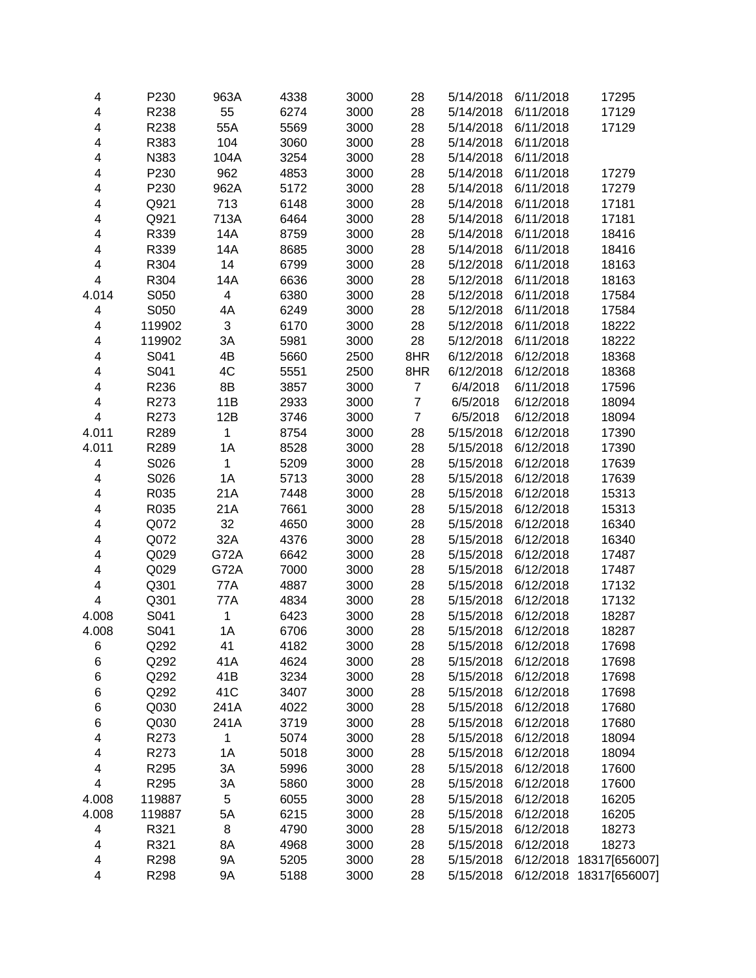| 4                            | P230   | 963A                     | 4338 | 3000 | 28               | 5/14/2018 | 6/11/2018 | 17295         |
|------------------------------|--------|--------------------------|------|------|------------------|-----------|-----------|---------------|
| 4                            | R238   | 55                       | 6274 | 3000 | 28               | 5/14/2018 | 6/11/2018 | 17129         |
| 4                            | R238   | 55A                      | 5569 | 3000 | 28               | 5/14/2018 | 6/11/2018 | 17129         |
|                              | R383   | 104                      | 3060 | 3000 | 28               | 5/14/2018 | 6/11/2018 |               |
| 4                            |        | 104A                     | 3254 |      |                  |           |           |               |
| 4                            | N383   |                          |      | 3000 | 28               | 5/14/2018 | 6/11/2018 |               |
| 4                            | P230   | 962                      | 4853 | 3000 | 28               | 5/14/2018 | 6/11/2018 | 17279         |
| 4                            | P230   | 962A                     | 5172 | 3000 | 28               | 5/14/2018 | 6/11/2018 | 17279         |
| 4                            | Q921   | 713                      | 6148 | 3000 | 28               | 5/14/2018 | 6/11/2018 | 17181         |
| 4                            | Q921   | 713A                     | 6464 | 3000 | 28               | 5/14/2018 | 6/11/2018 | 17181         |
| 4                            | R339   | 14A                      | 8759 | 3000 | 28               | 5/14/2018 | 6/11/2018 | 18416         |
| 4                            | R339   | 14A                      | 8685 | 3000 | 28               | 5/14/2018 | 6/11/2018 | 18416         |
| 4                            | R304   | 14                       | 6799 | 3000 | 28               | 5/12/2018 | 6/11/2018 | 18163         |
| $\overline{\mathbf{4}}$      | R304   | 14A                      | 6636 | 3000 | 28               | 5/12/2018 | 6/11/2018 | 18163         |
| 4.014                        | S050   | $\overline{\mathcal{A}}$ | 6380 | 3000 | 28               | 5/12/2018 | 6/11/2018 | 17584         |
| $\overline{\mathbf{4}}$      | S050   | 4A                       | 6249 | 3000 | 28               | 5/12/2018 | 6/11/2018 | 17584         |
| 4                            | 119902 | $\mathfrak{S}$           | 6170 | 3000 | 28               | 5/12/2018 | 6/11/2018 | 18222         |
| 4                            | 119902 | 3A                       | 5981 | 3000 | 28               | 5/12/2018 | 6/11/2018 | 18222         |
| 4                            | S041   | 4B                       | 5660 | 2500 | 8HR              | 6/12/2018 | 6/12/2018 | 18368         |
| 4                            | S041   | 4C                       | 5551 | 2500 | 8HR              | 6/12/2018 | 6/12/2018 | 18368         |
| 4                            | R236   | 8B                       | 3857 | 3000 | $\boldsymbol{7}$ | 6/4/2018  | 6/11/2018 | 17596         |
| 4                            | R273   | 11B                      | 2933 | 3000 | $\boldsymbol{7}$ | 6/5/2018  | 6/12/2018 | 18094         |
| 4                            | R273   | 12B                      | 3746 | 3000 | $\overline{7}$   | 6/5/2018  | 6/12/2018 | 18094         |
| 4.011                        | R289   | 1                        | 8754 | 3000 | 28               | 5/15/2018 | 6/12/2018 | 17390         |
| 4.011                        | R289   | 1A                       | 8528 | 3000 | 28               | 5/15/2018 | 6/12/2018 | 17390         |
| 4                            | S026   | 1                        | 5209 | 3000 | 28               | 5/15/2018 | 6/12/2018 | 17639         |
| 4                            | S026   | 1A                       | 5713 | 3000 | 28               | 5/15/2018 | 6/12/2018 | 17639         |
| 4                            | R035   | 21A                      | 7448 | 3000 | 28               | 5/15/2018 | 6/12/2018 | 15313         |
| 4                            | R035   | 21A                      | 7661 | 3000 | 28               | 5/15/2018 | 6/12/2018 | 15313         |
| 4                            | Q072   | 32                       | 4650 | 3000 | 28               | 5/15/2018 | 6/12/2018 | 16340         |
| 4                            | Q072   | 32A                      | 4376 | 3000 | 28               | 5/15/2018 | 6/12/2018 | 16340         |
| 4                            | Q029   | <b>G72A</b>              | 6642 | 3000 | 28               | 5/15/2018 | 6/12/2018 | 17487         |
| 4                            | Q029   | G72A                     | 7000 | 3000 | 28               | 5/15/2018 | 6/12/2018 | 17487         |
| 4                            | Q301   | 77A                      | 4887 | 3000 | 28               | 5/15/2018 | 6/12/2018 | 17132         |
| $\overline{\mathbf{4}}$      | Q301   | 77A                      | 4834 | 3000 | 28               | 5/15/2018 | 6/12/2018 | 17132         |
| 4.008                        | S041   | $\mathbf{1}$             | 6423 | 3000 | 28               | 5/15/2018 | 6/12/2018 | 18287         |
| 4.008                        | S041   | 1A                       | 6706 | 3000 | 28               | 5/15/2018 | 6/12/2018 | 18287         |
| 6                            | Q292   | 41                       | 4182 | 3000 | 28               | 5/15/2018 | 6/12/2018 | 17698         |
| 6                            | Q292   | 41A                      | 4624 | 3000 | 28               | 5/15/2018 | 6/12/2018 | 17698         |
| 6                            | Q292   | 41B                      | 3234 | 3000 | 28               | 5/15/2018 | 6/12/2018 | 17698         |
| 6                            | Q292   | 41C                      | 3407 | 3000 | 28               | 5/15/2018 | 6/12/2018 | 17698         |
| 6                            | Q030   | 241A                     | 4022 | 3000 | 28               | 5/15/2018 | 6/12/2018 | 17680         |
| 6                            | Q030   | 241A                     | 3719 | 3000 | 28               | 5/15/2018 | 6/12/2018 | 17680         |
| 4                            | R273   | 1                        | 5074 | 3000 | 28               | 5/15/2018 | 6/12/2018 | 18094         |
| 4                            | R273   | 1A                       | 5018 | 3000 | 28               | 5/15/2018 | 6/12/2018 | 18094         |
|                              |        |                          |      | 3000 | 28               |           | 6/12/2018 |               |
| 4<br>$\overline{\mathbf{4}}$ | R295   | 3A                       | 5996 |      |                  | 5/15/2018 |           | 17600         |
|                              | R295   | 3A                       | 5860 | 3000 | 28               | 5/15/2018 | 6/12/2018 | 17600         |
| 4.008                        | 119887 | 5                        | 6055 | 3000 | 28               | 5/15/2018 | 6/12/2018 | 16205         |
| 4.008                        | 119887 | 5A                       | 6215 | 3000 | 28               | 5/15/2018 | 6/12/2018 | 16205         |
| 4                            | R321   | 8                        | 4790 | 3000 | 28               | 5/15/2018 | 6/12/2018 | 18273         |
| 4                            | R321   | 8A                       | 4968 | 3000 | 28               | 5/15/2018 | 6/12/2018 | 18273         |
| 4                            | R298   | 9A                       | 5205 | 3000 | 28               | 5/15/2018 | 6/12/2018 | 18317[656007] |
| 4                            | R298   | 9Α                       | 5188 | 3000 | 28               | 5/15/2018 | 6/12/2018 | 18317[656007] |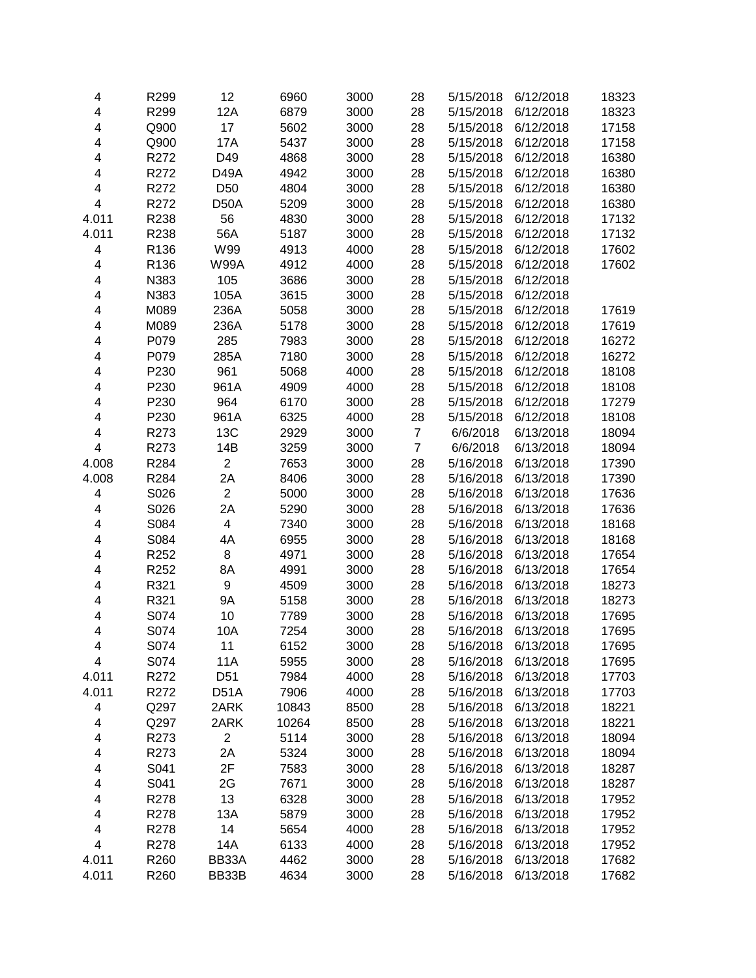| 4                       | R299             | 12                | 6960  | 3000 | 28             | 5/15/2018 | 6/12/2018 | 18323 |
|-------------------------|------------------|-------------------|-------|------|----------------|-----------|-----------|-------|
| $\overline{\mathbf{4}}$ | R299             | 12A               | 6879  | 3000 | 28             | 5/15/2018 | 6/12/2018 | 18323 |
| 4                       | Q900             | 17                | 5602  | 3000 | 28             | 5/15/2018 | 6/12/2018 | 17158 |
| $\overline{\mathbf{4}}$ | Q900             | <b>17A</b>        | 5437  | 3000 | 28             | 5/15/2018 | 6/12/2018 | 17158 |
| 4                       | R272             | D49               | 4868  | 3000 | 28             | 5/15/2018 | 6/12/2018 | 16380 |
| $\overline{\mathbf{4}}$ | R272             | <b>D49A</b>       | 4942  | 3000 | 28             | 5/15/2018 | 6/12/2018 | 16380 |
| 4                       | R272             | D <sub>50</sub>   | 4804  | 3000 | 28             | 5/15/2018 | 6/12/2018 | 16380 |
| $\overline{\mathbf{4}}$ | R272             | D50A              | 5209  | 3000 | 28             | 5/15/2018 | 6/12/2018 | 16380 |
| 4.011                   | R238             | 56                | 4830  | 3000 | 28             | 5/15/2018 | 6/12/2018 | 17132 |
| 4.011                   | R238             | 56A               | 5187  | 3000 | 28             | 5/15/2018 | 6/12/2018 | 17132 |
| $\overline{\mathbf{4}}$ | R136             | W99               | 4913  | 4000 | 28             | 5/15/2018 | 6/12/2018 | 17602 |
| 4                       | R <sub>136</sub> | <b>W99A</b>       | 4912  | 4000 | 28             | 5/15/2018 | 6/12/2018 | 17602 |
| 4                       | N383             | 105               | 3686  | 3000 | 28             | 5/15/2018 | 6/12/2018 |       |
| 4                       | N383             | 105A              | 3615  | 3000 | 28             | 5/15/2018 | 6/12/2018 |       |
| 4                       | M089             | 236A              | 5058  | 3000 | 28             | 5/15/2018 | 6/12/2018 | 17619 |
| 4                       | M089             | 236A              | 5178  | 3000 | 28             | 5/15/2018 | 6/12/2018 | 17619 |
| 4                       | P079             | 285               | 7983  | 3000 | 28             | 5/15/2018 | 6/12/2018 | 16272 |
| 4                       | P079             | 285A              | 7180  | 3000 | 28             | 5/15/2018 | 6/12/2018 | 16272 |
| $\overline{\mathbf{4}}$ | P230             | 961               | 5068  | 4000 | 28             | 5/15/2018 | 6/12/2018 | 18108 |
| 4                       | P230             | 961A              | 4909  | 4000 | 28             | 5/15/2018 | 6/12/2018 | 18108 |
| 4                       | P230             | 964               | 6170  | 3000 | 28             | 5/15/2018 | 6/12/2018 | 17279 |
| 4                       | P230             | 961A              | 6325  | 4000 | 28             | 5/15/2018 | 6/12/2018 | 18108 |
| $\overline{\mathbf{4}}$ | R273             | 13C               | 2929  | 3000 | $\overline{7}$ | 6/6/2018  | 6/13/2018 | 18094 |
| 4                       | R273             | 14B               | 3259  | 3000 | $\overline{7}$ | 6/6/2018  | 6/13/2018 | 18094 |
| 4.008                   | R284             | $\overline{2}$    | 7653  | 3000 | 28             | 5/16/2018 | 6/13/2018 | 17390 |
| 4.008                   | R284             | 2A                | 8406  | 3000 | 28             | 5/16/2018 | 6/13/2018 | 17390 |
| $\overline{\mathbf{4}}$ | S026             | $\overline{2}$    | 5000  | 3000 | 28             | 5/16/2018 | 6/13/2018 | 17636 |
| 4                       | S026             | 2A                | 5290  | 3000 | 28             | 5/16/2018 | 6/13/2018 | 17636 |
| 4                       | S084             | 4                 | 7340  | 3000 | 28             | 5/16/2018 | 6/13/2018 | 18168 |
| 4                       | S084             | 4A                | 6955  | 3000 | 28             | 5/16/2018 | 6/13/2018 | 18168 |
| 4                       | R252             | 8                 | 4971  | 3000 | 28             | 5/16/2018 | 6/13/2018 | 17654 |
| 4                       | R252             | 8A                | 4991  | 3000 | 28             | 5/16/2018 | 6/13/2018 | 17654 |
| 4                       | R321             | 9                 | 4509  | 3000 | 28             | 5/16/2018 | 6/13/2018 | 18273 |
| 4                       | R321             | 9Α                | 5158  | 3000 | 28             | 5/16/2018 | 6/13/2018 | 18273 |
| 4                       | S074             | 10                | 7789  | 3000 | 28             | 5/16/2018 | 6/13/2018 | 17695 |
| $\overline{\mathbf{4}}$ | S074             | 10A               | 7254  | 3000 | 28             | 5/16/2018 | 6/13/2018 | 17695 |
| 4                       | S074             | 11                | 6152  | 3000 | 28             | 5/16/2018 | 6/13/2018 | 17695 |
| 4                       | S074             | 11A               | 5955  | 3000 | 28             | 5/16/2018 | 6/13/2018 | 17695 |
| 4.011                   | R272             | D <sub>51</sub>   | 7984  | 4000 | 28             | 5/16/2018 | 6/13/2018 | 17703 |
| 4.011                   | R272             | D <sub>51</sub> A | 7906  | 4000 | 28             | 5/16/2018 | 6/13/2018 | 17703 |
| 4                       | Q297             | 2ARK              | 10843 | 8500 | 28             | 5/16/2018 | 6/13/2018 | 18221 |
| 4                       | Q297             | 2ARK              | 10264 | 8500 | 28             | 5/16/2018 | 6/13/2018 | 18221 |
| 4                       | R273             | $\overline{c}$    | 5114  | 3000 | 28             | 5/16/2018 | 6/13/2018 | 18094 |
| 4                       | R273             | 2A                | 5324  | 3000 | 28             | 5/16/2018 | 6/13/2018 | 18094 |
| 4                       | S041             | 2F                | 7583  | 3000 | 28             | 5/16/2018 | 6/13/2018 | 18287 |
| 4                       | S041             | 2G                | 7671  | 3000 | 28             | 5/16/2018 | 6/13/2018 | 18287 |
| 4                       | R278             | 13                | 6328  | 3000 | 28             | 5/16/2018 | 6/13/2018 | 17952 |
| 4                       | R278             | 13A               | 5879  | 3000 | 28             | 5/16/2018 | 6/13/2018 | 17952 |
| 4                       | R278             | 14                | 5654  | 4000 | 28             | 5/16/2018 | 6/13/2018 | 17952 |
| $\overline{\mathbf{4}}$ | R278             | 14A               | 6133  | 4000 | 28             | 5/16/2018 | 6/13/2018 | 17952 |
| 4.011                   | R260             | BB33A             | 4462  | 3000 | 28             | 5/16/2018 | 6/13/2018 | 17682 |
| 4.011                   | R260             | BB33B             | 4634  | 3000 | 28             | 5/16/2018 | 6/13/2018 | 17682 |
|                         |                  |                   |       |      |                |           |           |       |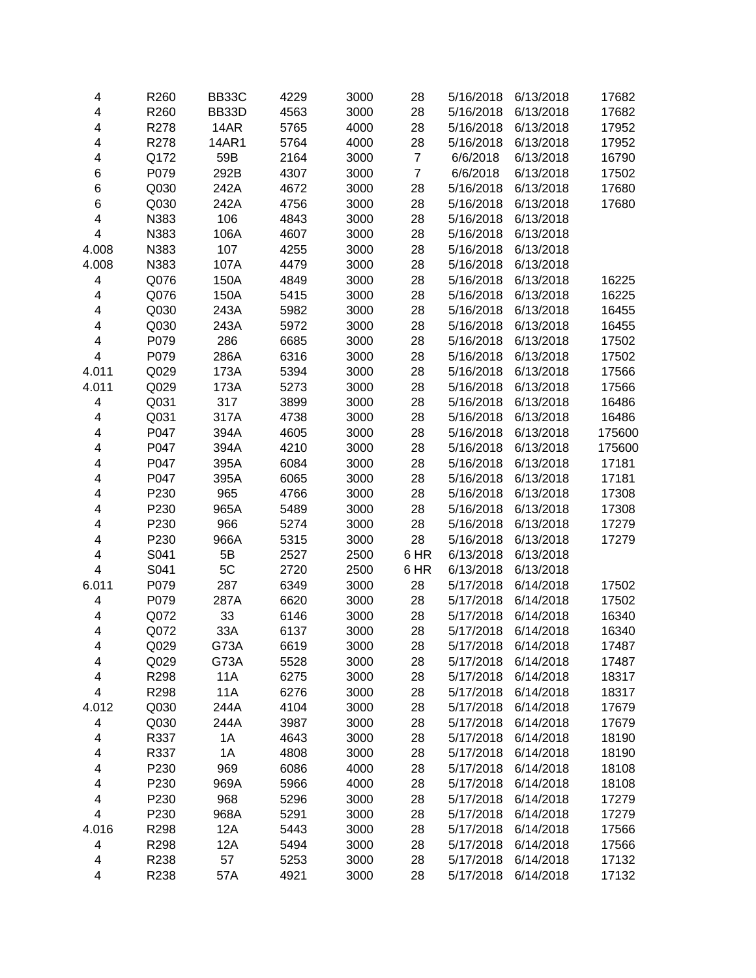| 4                       | R260 | BB33C      | 4229 | 3000 | 28             | 5/16/2018 | 6/13/2018 | 17682  |
|-------------------------|------|------------|------|------|----------------|-----------|-----------|--------|
| $\overline{\mathbf{4}}$ | R260 | BB33D      | 4563 | 3000 | 28             | 5/16/2018 | 6/13/2018 | 17682  |
| 4                       | R278 | 14AR       | 5765 | 4000 | 28             | 5/16/2018 | 6/13/2018 | 17952  |
| 4                       | R278 | 14AR1      | 5764 | 4000 | 28             | 5/16/2018 | 6/13/2018 | 17952  |
| 4                       | Q172 | 59B        | 2164 | 3000 | $\overline{7}$ | 6/6/2018  | 6/13/2018 | 16790  |
| 6                       | P079 | 292B       | 4307 | 3000 | $\overline{7}$ | 6/6/2018  | 6/13/2018 | 17502  |
| 6                       | Q030 | 242A       | 4672 | 3000 | 28             | 5/16/2018 | 6/13/2018 | 17680  |
| 6                       | Q030 | 242A       | 4756 | 3000 | 28             | 5/16/2018 | 6/13/2018 | 17680  |
| 4                       | N383 | 106        | 4843 | 3000 | 28             | 5/16/2018 | 6/13/2018 |        |
| 4                       | N383 | 106A       | 4607 | 3000 | 28             | 5/16/2018 | 6/13/2018 |        |
| 4.008                   | N383 | 107        | 4255 | 3000 | 28             | 5/16/2018 | 6/13/2018 |        |
| 4.008                   | N383 | 107A       | 4479 | 3000 | 28             | 5/16/2018 | 6/13/2018 |        |
| 4                       | Q076 | 150A       | 4849 | 3000 | 28             | 5/16/2018 | 6/13/2018 | 16225  |
| 4                       | Q076 | 150A       | 5415 | 3000 | 28             | 5/16/2018 | 6/13/2018 | 16225  |
| 4                       | Q030 | 243A       | 5982 | 3000 | 28             | 5/16/2018 | 6/13/2018 | 16455  |
| $\overline{\mathbf{4}}$ | Q030 | 243A       | 5972 | 3000 | 28             | 5/16/2018 | 6/13/2018 | 16455  |
| $\overline{\mathbf{4}}$ | P079 | 286        | 6685 | 3000 | 28             | 5/16/2018 | 6/13/2018 | 17502  |
| 4                       | P079 | 286A       | 6316 | 3000 | 28             | 5/16/2018 | 6/13/2018 | 17502  |
| 4.011                   | Q029 | 173A       | 5394 | 3000 | 28             | 5/16/2018 | 6/13/2018 | 17566  |
| 4.011                   | Q029 | 173A       | 5273 | 3000 | 28             | 5/16/2018 | 6/13/2018 | 17566  |
| 4                       | Q031 | 317        | 3899 | 3000 | 28             | 5/16/2018 | 6/13/2018 | 16486  |
| 4                       | Q031 | 317A       | 4738 | 3000 | 28             | 5/16/2018 | 6/13/2018 | 16486  |
| 4                       | P047 | 394A       | 4605 | 3000 | 28             | 5/16/2018 | 6/13/2018 | 175600 |
| 4                       | P047 | 394A       | 4210 | 3000 | 28             | 5/16/2018 | 6/13/2018 | 175600 |
| 4                       | P047 | 395A       | 6084 | 3000 | 28             | 5/16/2018 | 6/13/2018 | 17181  |
| 4                       | P047 | 395A       | 6065 | 3000 | 28             | 5/16/2018 | 6/13/2018 | 17181  |
| 4                       | P230 | 965        | 4766 | 3000 | 28             | 5/16/2018 | 6/13/2018 | 17308  |
| 4                       | P230 | 965A       | 5489 | 3000 | 28             | 5/16/2018 | 6/13/2018 | 17308  |
| 4                       | P230 | 966        | 5274 | 3000 | 28             | 5/16/2018 | 6/13/2018 | 17279  |
| 4                       | P230 | 966A       | 5315 | 3000 | 28             | 5/16/2018 | 6/13/2018 | 17279  |
| 4                       | S041 | 5B         | 2527 | 2500 | 6 HR           | 6/13/2018 | 6/13/2018 |        |
| $\overline{\mathbf{4}}$ | S041 | 5C         | 2720 | 2500 | 6 HR           | 6/13/2018 | 6/13/2018 |        |
| 6.011                   | P079 | 287        | 6349 | 3000 | 28             | 5/17/2018 | 6/14/2018 | 17502  |
| 4                       | P079 | 287A       | 6620 | 3000 | 28             | 5/17/2018 | 6/14/2018 | 17502  |
| 4                       | Q072 | 33         | 6146 | 3000 | 28             | 5/17/2018 | 6/14/2018 | 16340  |
| 4                       | Q072 | 33A        | 6137 | 3000 | 28             | 5/17/2018 | 6/14/2018 | 16340  |
| 4                       | Q029 | G73A       | 6619 | 3000 | 28             | 5/17/2018 | 6/14/2018 | 17487  |
| 4                       | Q029 | G73A       | 5528 | 3000 | 28             | 5/17/2018 | 6/14/2018 | 17487  |
| 4                       | R298 | 11A        | 6275 | 3000 | 28             | 5/17/2018 | 6/14/2018 | 18317  |
| 4                       | R298 | <b>11A</b> | 6276 | 3000 | 28             | 5/17/2018 | 6/14/2018 | 18317  |
| 4.012                   | Q030 | 244A       | 4104 | 3000 | 28             | 5/17/2018 | 6/14/2018 | 17679  |
| 4                       | Q030 | 244A       | 3987 | 3000 | 28             | 5/17/2018 | 6/14/2018 | 17679  |
| 4                       | R337 | 1A         | 4643 | 3000 | 28             | 5/17/2018 | 6/14/2018 | 18190  |
| 4                       | R337 | 1A         | 4808 | 3000 | 28             | 5/17/2018 | 6/14/2018 | 18190  |
| 4                       | P230 | 969        | 6086 | 4000 | 28             | 5/17/2018 | 6/14/2018 | 18108  |
|                         | P230 | 969A       | 5966 | 4000 | 28             | 5/17/2018 | 6/14/2018 | 18108  |
| 4                       | P230 | 968        |      |      |                | 5/17/2018 |           |        |
| 4<br>4                  |      |            | 5296 | 3000 | 28             |           | 6/14/2018 | 17279  |
|                         | P230 | 968A       | 5291 | 3000 | 28             | 5/17/2018 | 6/14/2018 | 17279  |
| 4.016                   | R298 | 12A        | 5443 | 3000 | 28             | 5/17/2018 | 6/14/2018 | 17566  |
| 4                       | R298 | 12A        | 5494 | 3000 | 28             | 5/17/2018 | 6/14/2018 | 17566  |
| 4                       | R238 | 57         | 5253 | 3000 | 28             | 5/17/2018 | 6/14/2018 | 17132  |
| 4                       | R238 | 57A        | 4921 | 3000 | 28             | 5/17/2018 | 6/14/2018 | 17132  |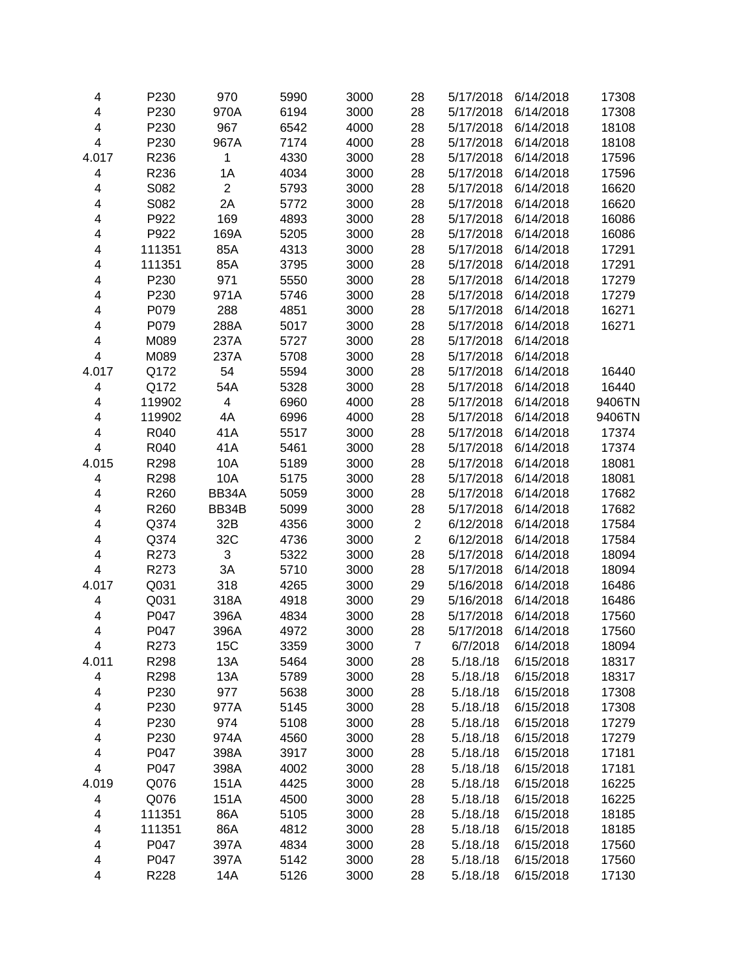| 4                       | P230   | 970            | 5990 | 3000 | 28             | 5/17/2018 | 6/14/2018 | 17308  |
|-------------------------|--------|----------------|------|------|----------------|-----------|-----------|--------|
| 4                       | P230   | 970A           | 6194 | 3000 | 28             | 5/17/2018 | 6/14/2018 | 17308  |
| 4                       | P230   | 967            | 6542 | 4000 | 28             | 5/17/2018 | 6/14/2018 | 18108  |
| 4                       | P230   | 967A           | 7174 | 4000 | 28             | 5/17/2018 | 6/14/2018 | 18108  |
| 4.017                   | R236   | $\mathbf{1}$   | 4330 | 3000 | 28             | 5/17/2018 | 6/14/2018 | 17596  |
| 4                       | R236   | 1A             | 4034 | 3000 | 28             | 5/17/2018 | 6/14/2018 | 17596  |
| 4                       | S082   | $\overline{2}$ | 5793 | 3000 | 28             | 5/17/2018 | 6/14/2018 | 16620  |
| 4                       | S082   | 2A             | 5772 | 3000 | 28             | 5/17/2018 | 6/14/2018 | 16620  |
| 4                       | P922   | 169            | 4893 | 3000 | 28             | 5/17/2018 | 6/14/2018 | 16086  |
| 4                       | P922   | 169A           | 5205 | 3000 | 28             | 5/17/2018 | 6/14/2018 | 16086  |
| 4                       | 111351 | 85A            | 4313 | 3000 | 28             | 5/17/2018 | 6/14/2018 | 17291  |
| 4                       | 111351 | 85A            | 3795 | 3000 | 28             | 5/17/2018 | 6/14/2018 | 17291  |
| 4                       | P230   | 971            | 5550 | 3000 | 28             | 5/17/2018 | 6/14/2018 | 17279  |
| 4                       | P230   | 971A           | 5746 | 3000 | 28             | 5/17/2018 | 6/14/2018 | 17279  |
| 4                       | P079   | 288            | 4851 | 3000 | 28             | 5/17/2018 | 6/14/2018 | 16271  |
| 4                       | P079   | 288A           | 5017 | 3000 | 28             | 5/17/2018 | 6/14/2018 | 16271  |
| 4                       | M089   | 237A           | 5727 | 3000 | 28             | 5/17/2018 | 6/14/2018 |        |
| $\overline{\mathbf{4}}$ | M089   | 237A           | 5708 | 3000 | 28             | 5/17/2018 | 6/14/2018 |        |
| 4.017                   | Q172   | 54             | 5594 | 3000 | 28             | 5/17/2018 | 6/14/2018 | 16440  |
| 4                       | Q172   | 54A            | 5328 | 3000 | 28             | 5/17/2018 | 6/14/2018 | 16440  |
| 4                       | 119902 | 4              | 6960 | 4000 | 28             | 5/17/2018 | 6/14/2018 | 9406TN |
| $\overline{\mathbf{4}}$ | 119902 | 4A             | 6996 | 4000 | 28             | 5/17/2018 | 6/14/2018 | 9406TN |
| 4                       | R040   | 41A            | 5517 | 3000 | 28             | 5/17/2018 | 6/14/2018 | 17374  |
| $\overline{\mathbf{4}}$ | R040   | 41A            | 5461 | 3000 | 28             | 5/17/2018 | 6/14/2018 | 17374  |
| 4.015                   | R298   | 10A            | 5189 | 3000 | 28             | 5/17/2018 | 6/14/2018 | 18081  |
| 4                       | R298   | 10A            | 5175 | 3000 | 28             | 5/17/2018 | 6/14/2018 | 18081  |
| 4                       | R260   | BB34A          | 5059 | 3000 | 28             | 5/17/2018 | 6/14/2018 | 17682  |
| 4                       | R260   | BB34B          | 5099 | 3000 | 28             | 5/17/2018 | 6/14/2018 | 17682  |
| 4                       | Q374   | 32B            | 4356 | 3000 | $\overline{c}$ | 6/12/2018 | 6/14/2018 | 17584  |
| $\overline{\mathbf{4}}$ | Q374   | 32C            | 4736 | 3000 | $\overline{2}$ | 6/12/2018 | 6/14/2018 | 17584  |
| 4                       | R273   | 3              | 5322 | 3000 | 28             | 5/17/2018 | 6/14/2018 | 18094  |
| 4                       | R273   | 3A             | 5710 | 3000 | 28             | 5/17/2018 | 6/14/2018 | 18094  |
| 4.017                   | Q031   | 318            | 4265 | 3000 | 29             | 5/16/2018 | 6/14/2018 | 16486  |
| 4                       | Q031   | 318A           | 4918 | 3000 | 29             | 5/16/2018 | 6/14/2018 | 16486  |
| 4                       | P047   | 396A           | 4834 | 3000 | 28             | 5/17/2018 | 6/14/2018 | 17560  |
| $\overline{\mathbf{4}}$ | P047   | 396A           | 4972 | 3000 | 28             | 5/17/2018 | 6/14/2018 | 17560  |
| 4                       | R273   | 15C            | 3359 | 3000 | 7              | 6/7/2018  | 6/14/2018 | 18094  |
| 4.011                   | R298   | 13A            | 5464 | 3000 | 28             | 5./18./18 | 6/15/2018 | 18317  |
| 4                       | R298   | 13A            | 5789 | 3000 | 28             | 5./18./18 | 6/15/2018 | 18317  |
| 4                       | P230   | 977            | 5638 | 3000 | 28             | 5./18./18 | 6/15/2018 | 17308  |
| 4                       | P230   | 977A           | 5145 | 3000 | 28             | 5./18./18 | 6/15/2018 | 17308  |
| 4                       | P230   | 974            | 5108 | 3000 | 28             | 5./18./18 | 6/15/2018 | 17279  |
| 4                       | P230   | 974A           | 4560 | 3000 | 28             | 5./18./18 | 6/15/2018 | 17279  |
| 4                       | P047   | 398A           | 3917 | 3000 | 28             | 5./18./18 | 6/15/2018 | 17181  |
| 4                       | P047   | 398A           | 4002 | 3000 | 28             | 5./18./18 | 6/15/2018 | 17181  |
| 4.019                   | Q076   | 151A           | 4425 | 3000 | 28             | 5./18./18 | 6/15/2018 | 16225  |
| 4                       | Q076   | 151A           | 4500 | 3000 | 28             | 5./18./18 | 6/15/2018 | 16225  |
| 4                       | 111351 | 86A            | 5105 | 3000 | 28             | 5./18./18 | 6/15/2018 | 18185  |
| 4                       | 111351 | 86A            | 4812 | 3000 | 28             | 5./18./18 | 6/15/2018 | 18185  |
| 4                       | P047   | 397A           | 4834 | 3000 | 28             | 5./18./18 | 6/15/2018 | 17560  |
| 4                       | P047   | 397A           | 5142 | 3000 | 28             | 5./18./18 | 6/15/2018 | 17560  |
| 4                       | R228   | 14A            | 5126 | 3000 | 28             | 5./18./18 | 6/15/2018 | 17130  |
|                         |        |                |      |      |                |           |           |        |